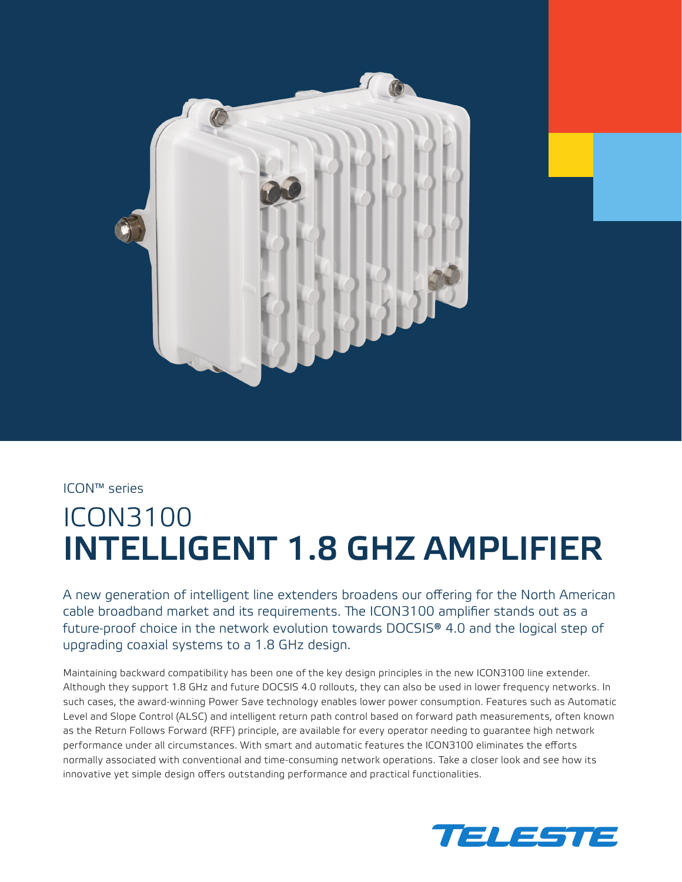

ICON™ series

# ICON3100 INTELLIGENT 1.8 GHZ AMPLIFIER

A new generation of intelligent line extenders broadens our offering for the North American cable broadband market and its requirements. The ICON3100 amplifier stands out as a future-proof choice in the network evolution towards DOCSIS® 4.0 and the logical step of upgrading coaxial systems to a 1.8 GHz design.

Maintaining backward compatibility has been one of the key design principles in the new ICON3100 line extender. Although they support 1.8 GHz and future DOCSIS 4.0 rollouts, they can also be used in lower frequency networks. In such cases, the award-winning Power Save technology enables lower power consumption. Features such as Automatic Level and Slope Control (ALSC) and intelligent return path control based on forward path measurements, often known as the Return Follows Forward (RFF) principle, are available for every operator needing to guarantee high network performance under all circumstances. With smart and automatic features the ICON3100 eliminates the efforts normally associated with conventional and time-consuming network operations. Take a closer look and see how its innovative yet simple design offers outstanding performance and practical functionalities.